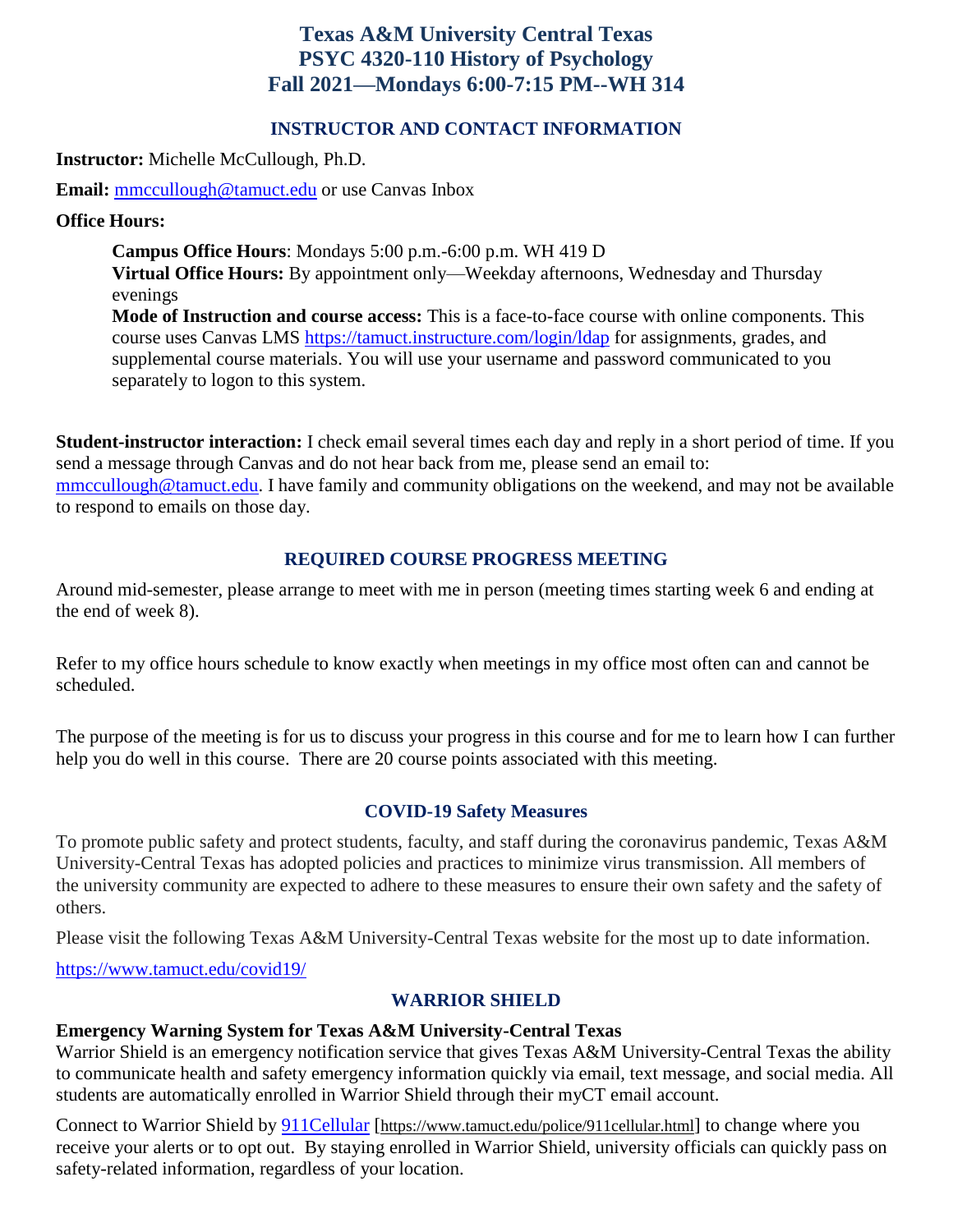# **Texas A&M University Central Texas PSYC 4320-110 History of Psychology Fall 2021—Mondays 6:00-7:15 PM--WH 314**

### **INSTRUCTOR AND CONTACT INFORMATION**

**Instructor:** Michelle McCullough, Ph.D.

**Email:** [mmccullough@tamuct.edu](mailto:mmccullough@tamuct.edu) or use Canvas Inbox

### **Office Hours:**

**Campus Office Hours**: Mondays 5:00 p.m.-6:00 p.m. WH 419 D **Virtual Office Hours:** By appointment only—Weekday afternoons, Wednesday and Thursday evenings

**Mode of Instruction and course access:** This is a face-to-face course with online components. This course uses Canvas LMS<https://tamuct.instructure.com/login/ldap> for assignments, grades, and supplemental course materials. You will use your username and password communicated to you separately to logon to this system.

**Student-instructor interaction:** I check email several times each day and reply in a short period of time. If you send a message through Canvas and do not hear back from me, please send an email to: [mmccullough@tamuct.edu.](mailto:mmccullough@tamuct.edu) I have family and community obligations on the weekend, and may not be available to respond to emails on those day.

### **REQUIRED COURSE PROGRESS MEETING**

Around mid-semester, please arrange to meet with me in person (meeting times starting week 6 and ending at the end of week 8).

Refer to my office hours schedule to know exactly when meetings in my office most often can and cannot be scheduled.

The purpose of the meeting is for us to discuss your progress in this course and for me to learn how I can further help you do well in this course. There are 20 course points associated with this meeting.

### **COVID-19 Safety Measures**

To promote public safety and protect students, faculty, and staff during the coronavirus pandemic, Texas A&M University-Central Texas has adopted policies and practices to minimize virus transmission. All members of the university community are expected to adhere to these measures to ensure their own safety and the safety of others.

Please visit the following Texas A&M University-Central Texas website for the most up to date information.

<https://www.tamuct.edu/covid19/>

## **WARRIOR SHIELD**

## **Emergency Warning System for Texas A&M University-Central Texas**

Warrior Shield is an emergency notification service that gives Texas A&M University-Central Texas the ability to communicate health and safety emergency information quickly via email, text message, and social media. All students are automatically enrolled in Warrior Shield through their myCT email account.

Connect to Warrior Shield by **911Cellular** [<https://www.tamuct.edu/police/911cellular.html>] to change where you receive your alerts or to opt out. By staying enrolled in Warrior Shield, university officials can quickly pass on safety-related information, regardless of your location.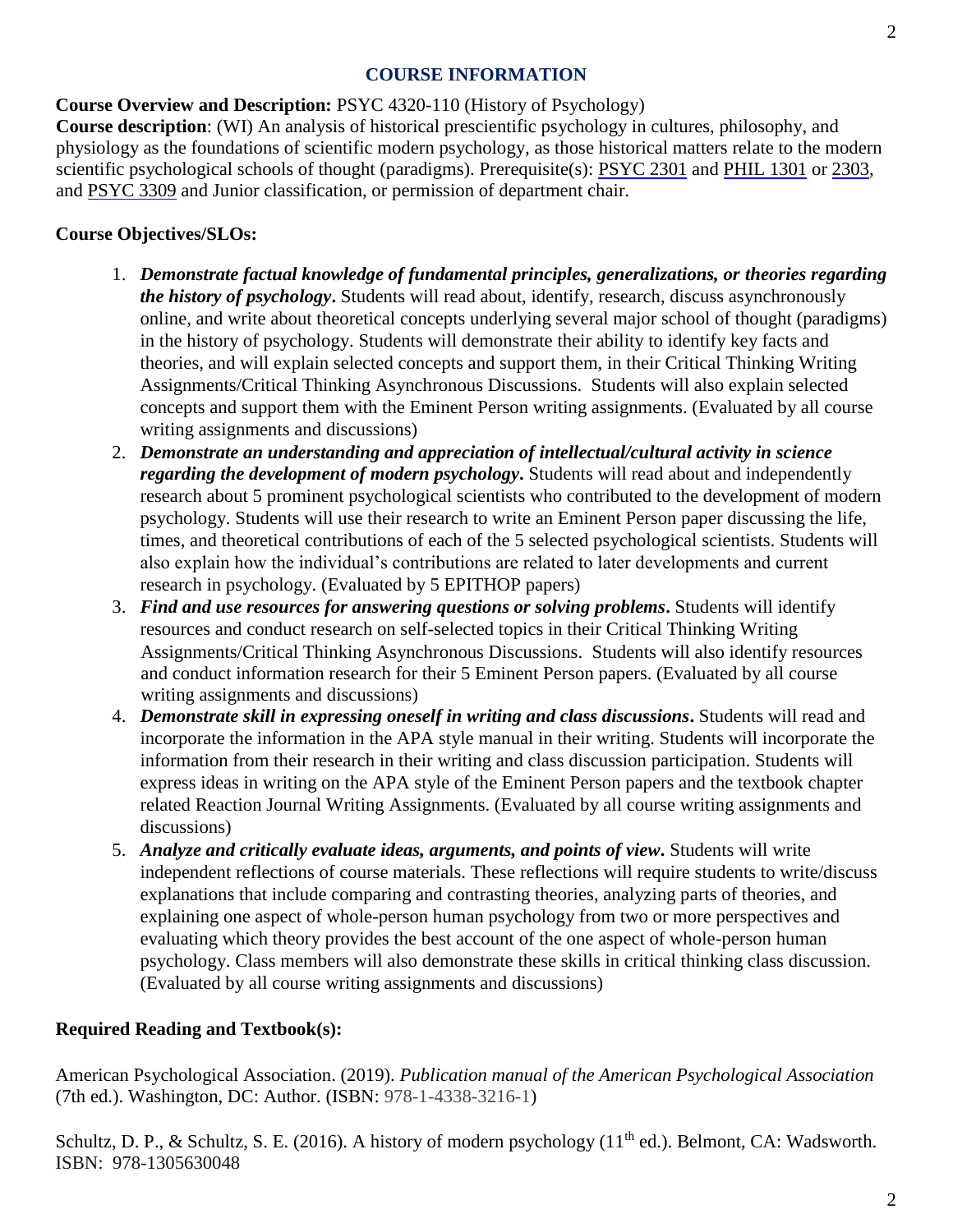#### **COURSE INFORMATION**

## **Course Overview and Description:** PSYC 4320-110 (History of Psychology)

**Course description**: (WI) An analysis of historical prescientific psychology in cultures, philosophy, and physiology as the foundations of scientific modern psychology, as those historical matters relate to the modern scientific psychological schools of thought (paradigms). Prerequisite(s): [PSYC](http://catalog.tamuct.edu/search/?P=PSYC%202301) [2301](http://catalog.tamuct.edu/search/?P=PSYC%202301) and [PHIL](http://catalog.tamuct.edu/search/?P=PHIL%201301) [1301](http://catalog.tamuct.edu/search/?P=PHIL%201301) o[r](http://catalog.tamuct.edu/search/?P=PHIL%202303) [2303,](http://catalog.tamuct.edu/search/?P=PHIL%202303) and [PSYC](http://catalog.tamuct.edu/search/?P=PSYC%203309) [3309](http://catalog.tamuct.edu/search/?P=PSYC%203309) [a](http://catalog.tamuct.edu/search/?P=PSYC%203309)nd Junior classification, or permission of department chair.

## **Course Objectives/SLOs:**

- 1. *Demonstrate factual knowledge of fundamental principles, generalizations, or theories regarding the history of psychology***.** Students will read about, identify, research, discuss asynchronously online, and write about theoretical concepts underlying several major school of thought (paradigms) in the history of psychology. Students will demonstrate their ability to identify key facts and theories, and will explain selected concepts and support them, in their Critical Thinking Writing Assignments/Critical Thinking Asynchronous Discussions. Students will also explain selected concepts and support them with the Eminent Person writing assignments. (Evaluated by all course writing assignments and discussions)
- 2. *Demonstrate an understanding and appreciation of intellectual/cultural activity in science regarding the development of modern psychology***.** Students will read about and independently research about 5 prominent psychological scientists who contributed to the development of modern psychology. Students will use their research to write an Eminent Person paper discussing the life, times, and theoretical contributions of each of the 5 selected psychological scientists. Students will also explain how the individual's contributions are related to later developments and current research in psychology. (Evaluated by 5 EPITHOP papers)
- 3. *Find and use resources for answering questions or solving problems***.** Students will identify resources and conduct research on self-selected topics in their Critical Thinking Writing Assignments/Critical Thinking Asynchronous Discussions. Students will also identify resources and conduct information research for their 5 Eminent Person papers. (Evaluated by all course writing assignments and discussions)
- 4. *Demonstrate skill in expressing oneself in writing and class discussions***.** Students will read and incorporate the information in the APA style manual in their writing. Students will incorporate the information from their research in their writing and class discussion participation. Students will express ideas in writing on the APA style of the Eminent Person papers and the textbook chapter related Reaction Journal Writing Assignments. (Evaluated by all course writing assignments and discussions)
- 5. *Analyze and critically evaluate ideas, arguments, and points of view***.** Students will write independent reflections of course materials. These reflections will require students to write/discuss explanations that include comparing and contrasting theories, analyzing parts of theories, and explaining one aspect of whole-person human psychology from two or more perspectives and evaluating which theory provides the best account of the one aspect of whole-person human psychology. Class members will also demonstrate these skills in critical thinking class discussion. (Evaluated by all course writing assignments and discussions)

## **Required Reading and Textbook(s):**

American Psychological Association. (2019). *Publication manual of the American Psychological Association*  (7th ed.). Washington, DC: Author. (ISBN: 978-1-4338-3216-1)

Schultz, D. P., & Schultz, S. E. (2016). A history of modern psychology (11<sup>th</sup> ed.). Belmont, CA: Wadsworth. ISBN: 978-1305630048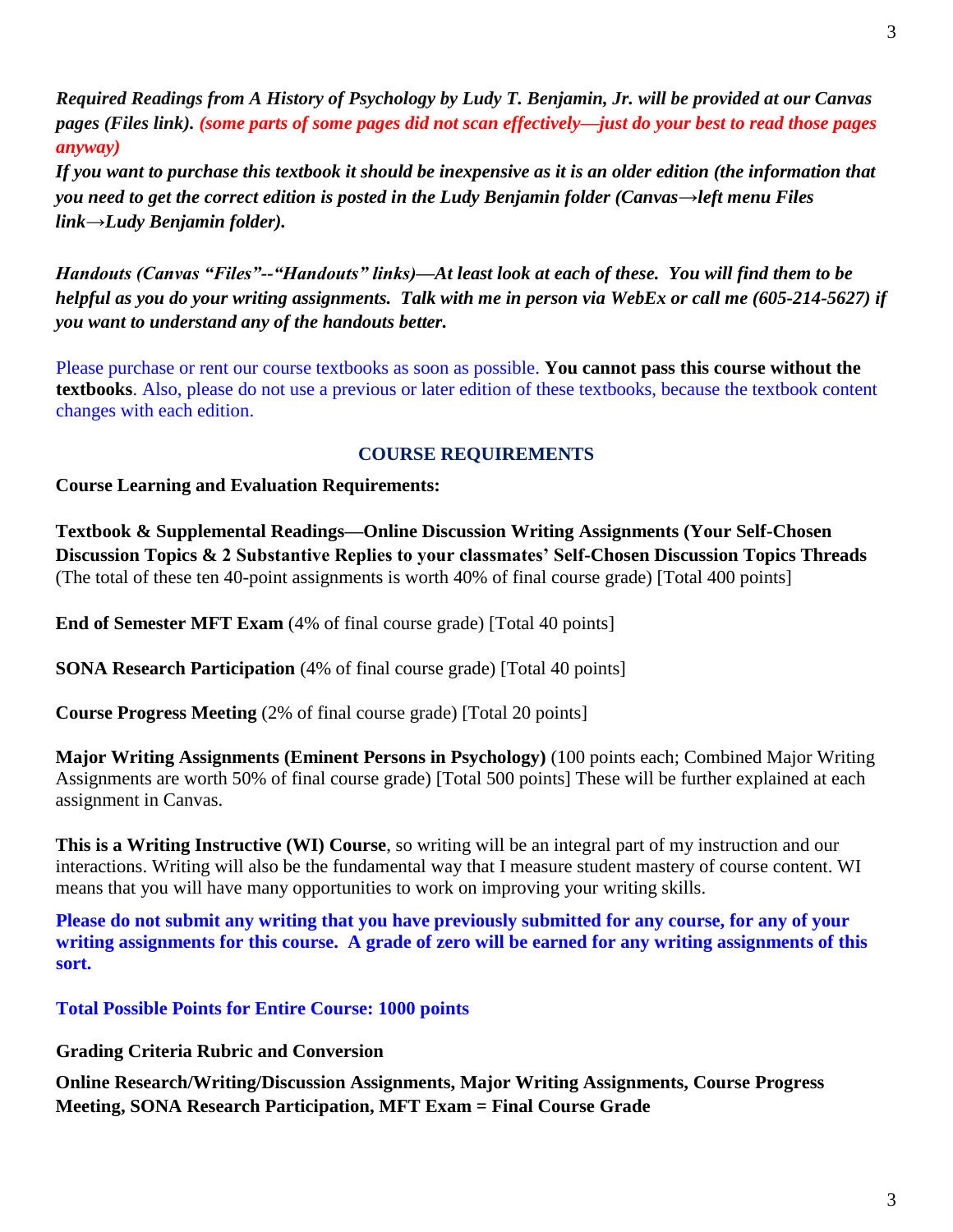*Required Readings from A History of Psychology by Ludy T. Benjamin, Jr. will be provided at our Canvas pages (Files link). (some parts of some pages did not scan effectively—just do your best to read those pages anyway)* 

*If you want to purchase this textbook it should be inexpensive as it is an older edition (the information that you need to get the correct edition is posted in the Ludy Benjamin folder (Canvas*→*left menu Files link*→*Ludy Benjamin folder).* 

*Handouts (Canvas "Files"--"Handouts" links)—At least look at each of these. You will find them to be helpful as you do your writing assignments. Talk with me in person via WebEx or call me (605-214-5627) if you want to understand any of the handouts better.*

Please purchase or rent our course textbooks as soon as possible. **You cannot pass this course without the textbooks**. Also, please do not use a previous or later edition of these textbooks, because the textbook content changes with each edition.

### **COURSE REQUIREMENTS**

**Course Learning and Evaluation Requirements:** 

**Textbook & Supplemental Readings—Online Discussion Writing Assignments (Your Self-Chosen Discussion Topics & 2 Substantive Replies to your classmates' Self-Chosen Discussion Topics Threads** (The total of these ten 40-point assignments is worth 40% of final course grade) [Total 400 points]

**End of Semester MFT Exam** (4% of final course grade) [Total 40 points]

**SONA Research Participation** (4% of final course grade) [Total 40 points]

**Course Progress Meeting** (2% of final course grade) [Total 20 points]

**Major Writing Assignments (Eminent Persons in Psychology)** (100 points each; Combined Major Writing Assignments are worth 50% of final course grade) [Total 500 points] These will be further explained at each assignment in Canvas.

**This is a Writing Instructive (WI) Course**, so writing will be an integral part of my instruction and our interactions. Writing will also be the fundamental way that I measure student mastery of course content. WI means that you will have many opportunities to work on improving your writing skills.

**Please do not submit any writing that you have previously submitted for any course, for any of your writing assignments for this course. A grade of zero will be earned for any writing assignments of this sort.** 

**Total Possible Points for Entire Course: 1000 points** 

**Grading Criteria Rubric and Conversion** 

**Online Research/Writing/Discussion Assignments, Major Writing Assignments, Course Progress Meeting, SONA Research Participation, MFT Exam = Final Course Grade**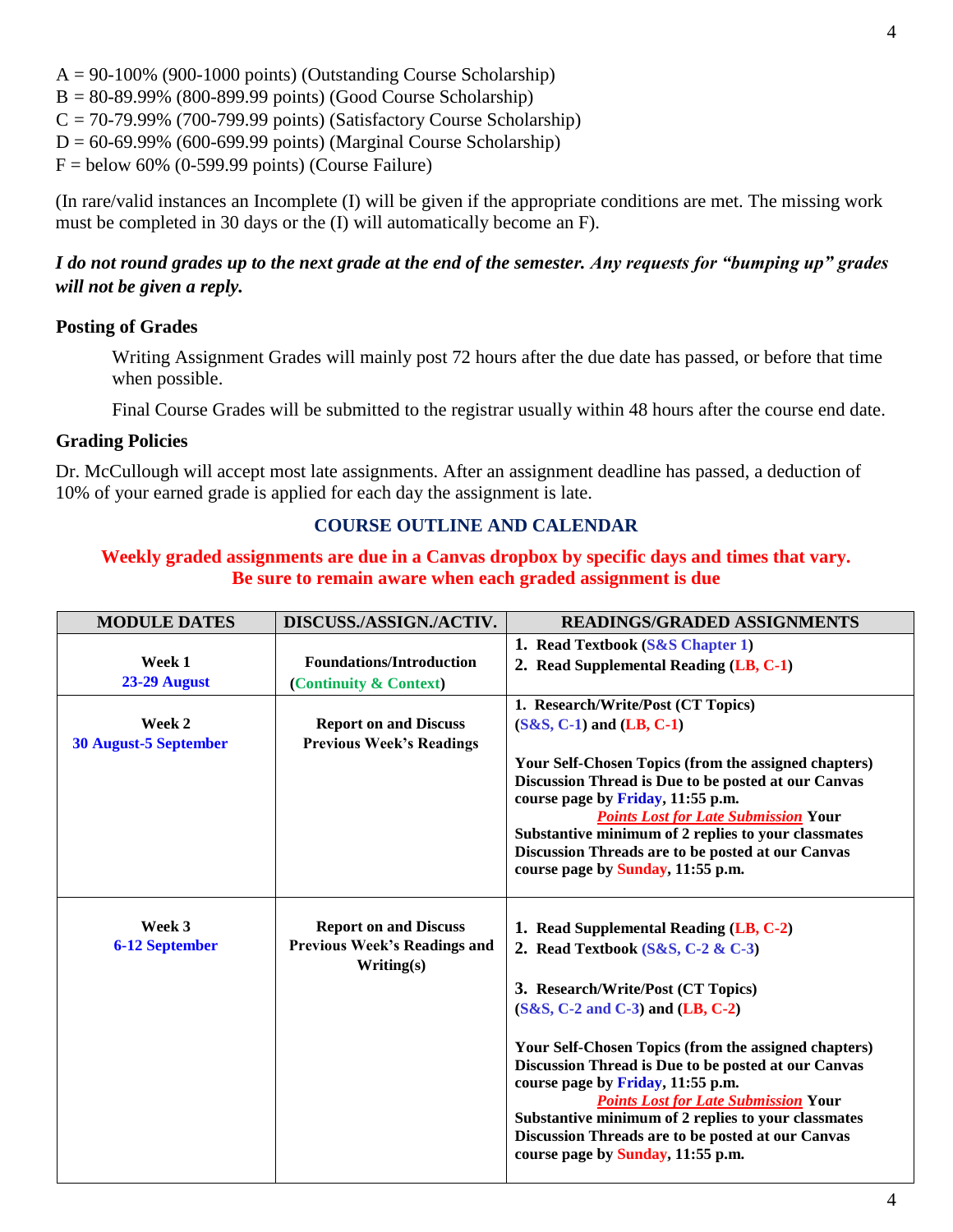$A = 90-100\%$  (900-1000 points) (Outstanding Course Scholarship)

 $B = 80-89.99\%$  (800-899.99 points) (Good Course Scholarship)

 $C = 70-79.99\%$  (700-799.99 points) (Satisfactory Course Scholarship)

 $D = 60-69.99\%$  (600-699.99 points) (Marginal Course Scholarship)

 $F =$  below 60% (0-599.99 points) (Course Failure)

(In rare/valid instances an Incomplete (I) will be given if the appropriate conditions are met. The missing work must be completed in 30 days or the (I) will automatically become an F).

## *I do not round grades up to the next grade at the end of the semester. Any requests for "bumping up" grades will not be given a reply.*

### **Posting of Grades**

Writing Assignment Grades will mainly post 72 hours after the due date has passed, or before that time when possible.

Final Course Grades will be submitted to the registrar usually within 48 hours after the course end date.

### **Grading Policies**

Dr. McCullough will accept most late assignments. After an assignment deadline has passed, a deduction of 10% of your earned grade is applied for each day the assignment is late.

## **COURSE OUTLINE AND CALENDAR**

### **Weekly graded assignments are due in a Canvas dropbox by specific days and times that vary. Be sure to remain aware when each graded assignment is due**

| <b>MODULE DATES</b>          | DISCUSS./ASSIGN./ACTIV.                                             | <b>READINGS/GRADED ASSIGNMENTS</b>                                                                                 |
|------------------------------|---------------------------------------------------------------------|--------------------------------------------------------------------------------------------------------------------|
|                              |                                                                     | 1. Read Textbook (S&S Chapter 1)                                                                                   |
| Week 1                       | <b>Foundations/Introduction</b>                                     | 2. Read Supplemental Reading (LB, C-1)                                                                             |
| 23-29 August                 | (Continuity & Context)                                              |                                                                                                                    |
|                              |                                                                     | 1. Research/Write/Post (CT Topics)                                                                                 |
| Week 2                       | <b>Report on and Discuss</b>                                        | $(S&S, C-1)$ and $(LB, C-1)$                                                                                       |
| <b>30 August-5 September</b> | <b>Previous Week's Readings</b>                                     |                                                                                                                    |
|                              |                                                                     | <b>Your Self-Chosen Topics (from the assigned chapters)</b><br>Discussion Thread is Due to be posted at our Canvas |
|                              |                                                                     | course page by Friday, 11:55 p.m.<br><b>Points Lost for Late Submission Your</b>                                   |
|                              |                                                                     | Substantive minimum of 2 replies to your classmates                                                                |
|                              |                                                                     | Discussion Threads are to be posted at our Canvas                                                                  |
|                              |                                                                     | course page by Sunday, 11:55 p.m.                                                                                  |
| Week 3                       |                                                                     |                                                                                                                    |
|                              | <b>Report on and Discuss</b><br><b>Previous Week's Readings and</b> | 1. Read Supplemental Reading (LB, C-2)                                                                             |
| <b>6-12 September</b>        | Writing(s)                                                          | 2. Read Textbook $(S&S, C-2 & C-3)$                                                                                |
|                              |                                                                     | 3. Research/Write/Post (CT Topics)                                                                                 |
|                              |                                                                     | $(S&S, C-2 \text{ and } C-3)$ and $(LB, C-2)$                                                                      |
|                              |                                                                     | <b>Your Self-Chosen Topics (from the assigned chapters)</b>                                                        |
|                              |                                                                     | Discussion Thread is Due to be posted at our Canvas                                                                |
|                              |                                                                     | course page by Friday, 11:55 p.m.                                                                                  |
|                              |                                                                     | <b>Points Lost for Late Submission Your</b><br>Substantive minimum of 2 replies to your classmates                 |
|                              |                                                                     | Discussion Threads are to be posted at our Canvas                                                                  |
|                              |                                                                     | course page by Sunday, 11:55 p.m.                                                                                  |
|                              |                                                                     |                                                                                                                    |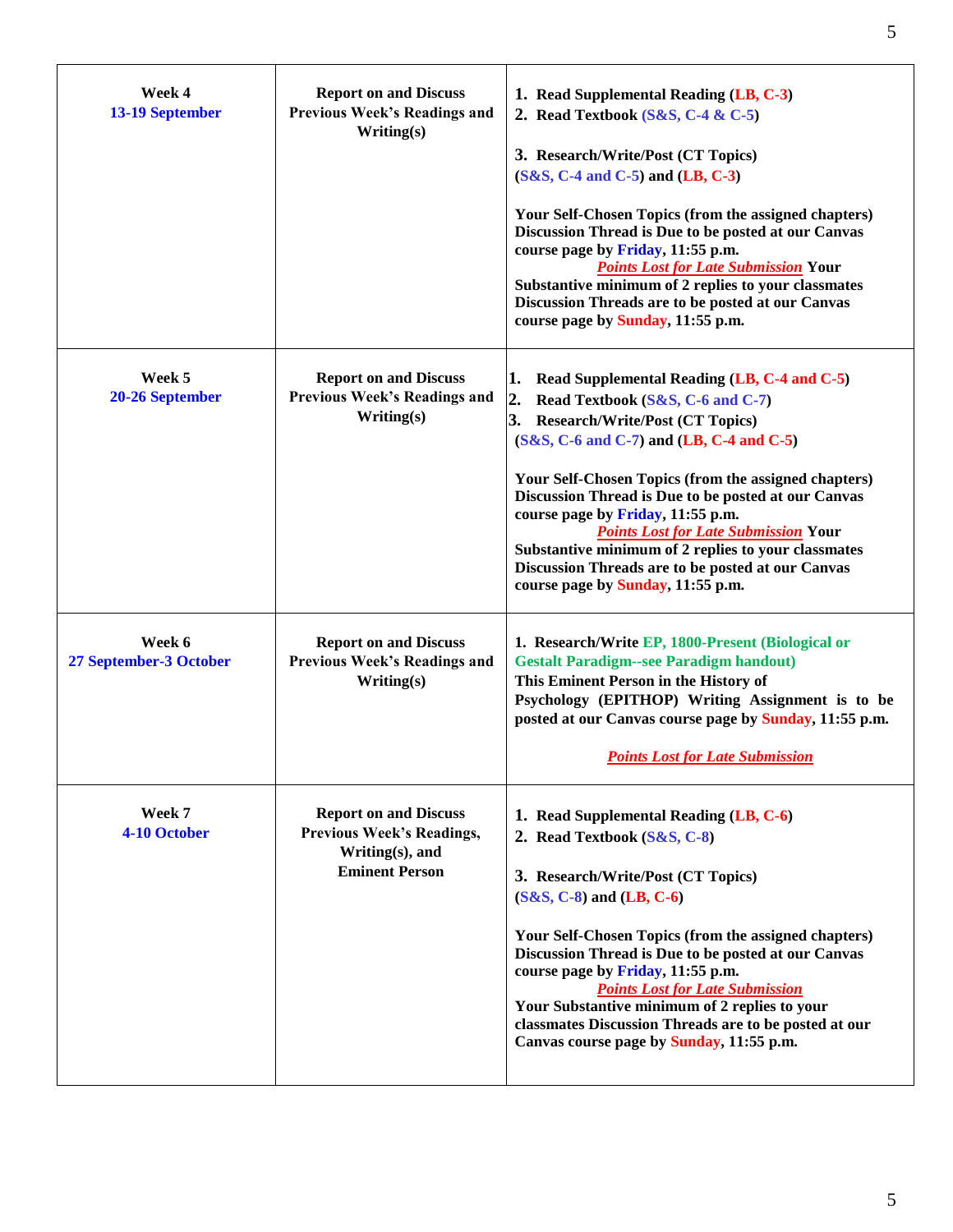| Week 4<br>13-19 September        | <b>Report on and Discuss</b><br><b>Previous Week's Readings and</b><br>Writing(s)                            | 1. Read Supplemental Reading (LB, C-3)<br>2. Read Textbook $(S&S, C-4 & C-5)$<br>3. Research/Write/Post (CT Topics)<br>$(S&S, C-4 \text{ and } C-5)$ and $(LB, C-3)$<br>Your Self-Chosen Topics (from the assigned chapters)<br>Discussion Thread is Due to be posted at our Canvas<br>course page by Friday, 11:55 p.m.<br><b>Points Lost for Late Submission Your</b><br>Substantive minimum of 2 replies to your classmates<br>Discussion Threads are to be posted at our Canvas<br>course page by Sunday, 11:55 p.m.                                          |
|----------------------------------|--------------------------------------------------------------------------------------------------------------|-------------------------------------------------------------------------------------------------------------------------------------------------------------------------------------------------------------------------------------------------------------------------------------------------------------------------------------------------------------------------------------------------------------------------------------------------------------------------------------------------------------------------------------------------------------------|
| Week 5<br>20-26 September        | <b>Report on and Discuss</b><br><b>Previous Week's Readings and</b><br>Writing(s)                            | Read Supplemental Reading (LB, C-4 and C-5)<br>L.<br>$\overline{2}$ .<br>Read Textbook (S&S, C-6 and C-7)<br>3.<br><b>Research/Write/Post (CT Topics)</b><br>$(S&S, C-6$ and $C-7)$ and $(LB, C-4$ and $C-5)$<br>Your Self-Chosen Topics (from the assigned chapters)<br>Discussion Thread is Due to be posted at our Canvas<br>course page by Friday, 11:55 p.m.<br><b>Points Lost for Late Submission Your</b><br>Substantive minimum of 2 replies to your classmates<br>Discussion Threads are to be posted at our Canvas<br>course page by Sunday, 11:55 p.m. |
| Week 6<br>27 September-3 October | <b>Report on and Discuss</b><br><b>Previous Week's Readings and</b><br>Writing(s)                            | 1. Research/Write EP, 1800-Present (Biological or<br><b>Gestalt Paradigm--see Paradigm handout)</b><br>This Eminent Person in the History of<br>Psychology (EPITHOP) Writing Assignment is to be<br>posted at our Canvas course page by Sunday, 11:55 p.m.<br><b>Points Lost for Late Submission</b>                                                                                                                                                                                                                                                              |
| Week 7<br>4-10 October           | <b>Report on and Discuss</b><br><b>Previous Week's Readings,</b><br>Writing(s), and<br><b>Eminent Person</b> | 1. Read Supplemental Reading (LB, C-6)<br>2. Read Textbook (S&S, C-8)<br>3. Research/Write/Post (CT Topics)<br>$(S&S, C-8)$ and $(LB, C-6)$<br>Your Self-Chosen Topics (from the assigned chapters)<br>Discussion Thread is Due to be posted at our Canvas<br>course page by Friday, 11:55 p.m.<br><b>Points Lost for Late Submission</b><br>Your Substantive minimum of 2 replies to your<br>classmates Discussion Threads are to be posted at our<br>Canvas course page by Sunday, 11:55 p.m.                                                                   |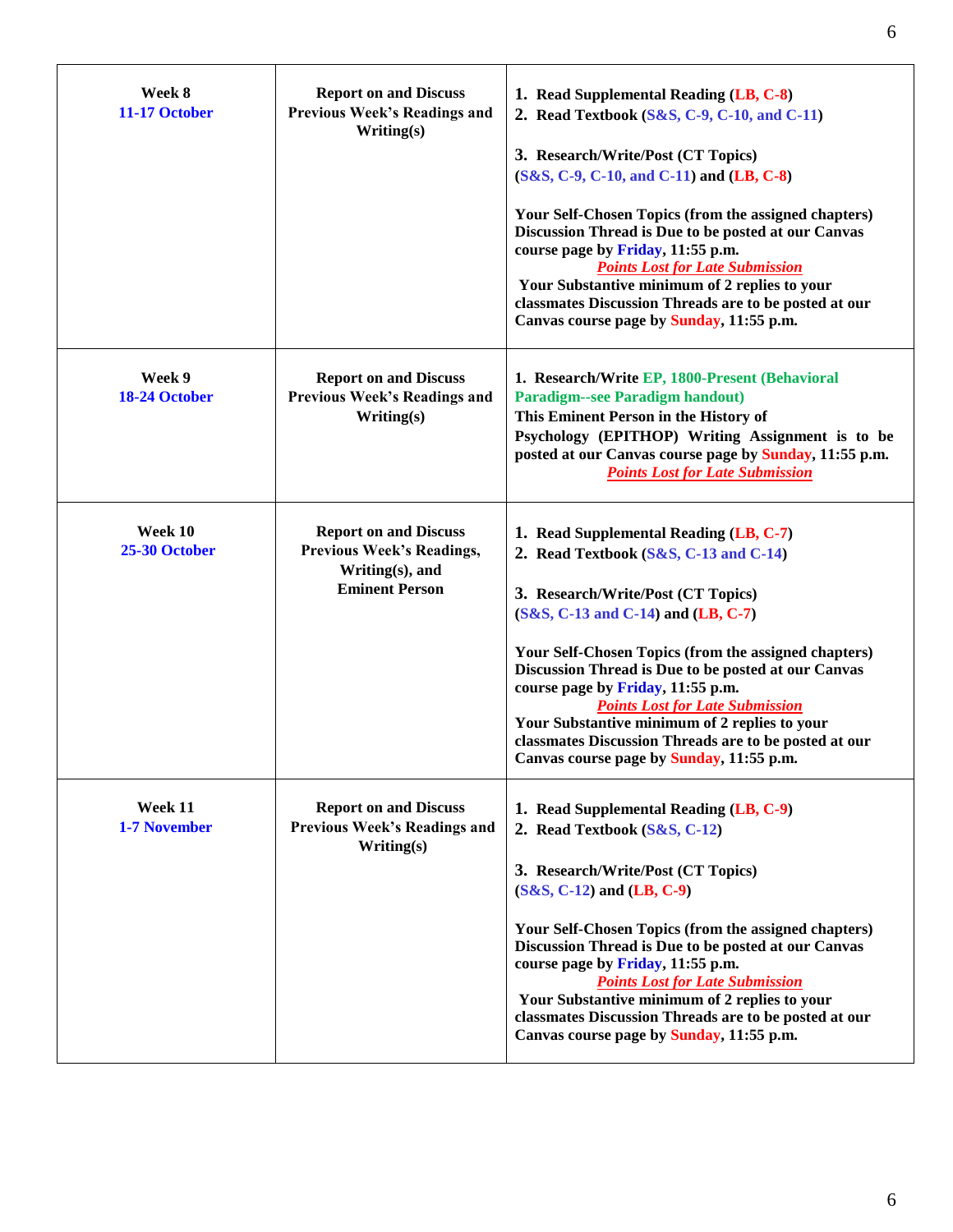| Week 8<br>11-17 October        | <b>Report on and Discuss</b><br><b>Previous Week's Readings and</b><br>Writing(s)                            | 1. Read Supplemental Reading (LB, C-8)<br>2. Read Textbook (S&S, C-9, C-10, and C-11)<br>3. Research/Write/Post (CT Topics)<br>(S&S, C-9, C-10, and C-11) and (LB, C-8)<br><b>Your Self-Chosen Topics (from the assigned chapters)</b><br>Discussion Thread is Due to be posted at our Canvas<br>course page by Friday, 11:55 p.m.<br><b>Points Lost for Late Submission</b><br>Your Substantive minimum of 2 replies to your<br>classmates Discussion Threads are to be posted at our<br>Canvas course page by Sunday, 11:55 p.m. |
|--------------------------------|--------------------------------------------------------------------------------------------------------------|------------------------------------------------------------------------------------------------------------------------------------------------------------------------------------------------------------------------------------------------------------------------------------------------------------------------------------------------------------------------------------------------------------------------------------------------------------------------------------------------------------------------------------|
| Week 9<br>18-24 October        | <b>Report on and Discuss</b><br><b>Previous Week's Readings and</b><br>Writing(s)                            | 1. Research/Write EP, 1800-Present (Behavioral<br><b>Paradigm--see Paradigm handout)</b><br>This Eminent Person in the History of<br>Psychology (EPITHOP) Writing Assignment is to be<br>posted at our Canvas course page by Sunday, 11:55 p.m.<br><b>Points Lost for Late Submission</b>                                                                                                                                                                                                                                          |
| Week 10<br>25-30 October       | <b>Report on and Discuss</b><br><b>Previous Week's Readings,</b><br>Writing(s), and<br><b>Eminent Person</b> | 1. Read Supplemental Reading (LB, C-7)<br>2. Read Textbook $(S&S, C-13$ and $C-14)$<br>3. Research/Write/Post (CT Topics)<br>(S&S, C-13 and C-14) and (LB, C-7)<br>Your Self-Chosen Topics (from the assigned chapters)<br>Discussion Thread is Due to be posted at our Canvas<br>course page by Friday, 11:55 p.m.<br><b>Points Lost for Late Submission</b><br>Your Substantive minimum of 2 replies to your<br>classmates Discussion Threads are to be posted at our<br>Canvas course page by Sunday, 11:55 p.m.                |
| Week 11<br><b>1-7 November</b> | <b>Report on and Discuss</b><br><b>Previous Week's Readings and</b><br>Writing(s)                            | 1. Read Supplemental Reading (LB, C-9)<br>2. Read Textbook (S&S, C-12)<br>3. Research/Write/Post (CT Topics)<br>$(S&S, C-12)$ and $(LB, C-9)$<br><b>Your Self-Chosen Topics (from the assigned chapters)</b><br>Discussion Thread is Due to be posted at our Canvas<br>course page by Friday, 11:55 p.m.<br><b>Points Lost for Late Submission</b><br>Your Substantive minimum of 2 replies to your<br>classmates Discussion Threads are to be posted at our<br>Canvas course page by Sunday, 11:55 p.m.                           |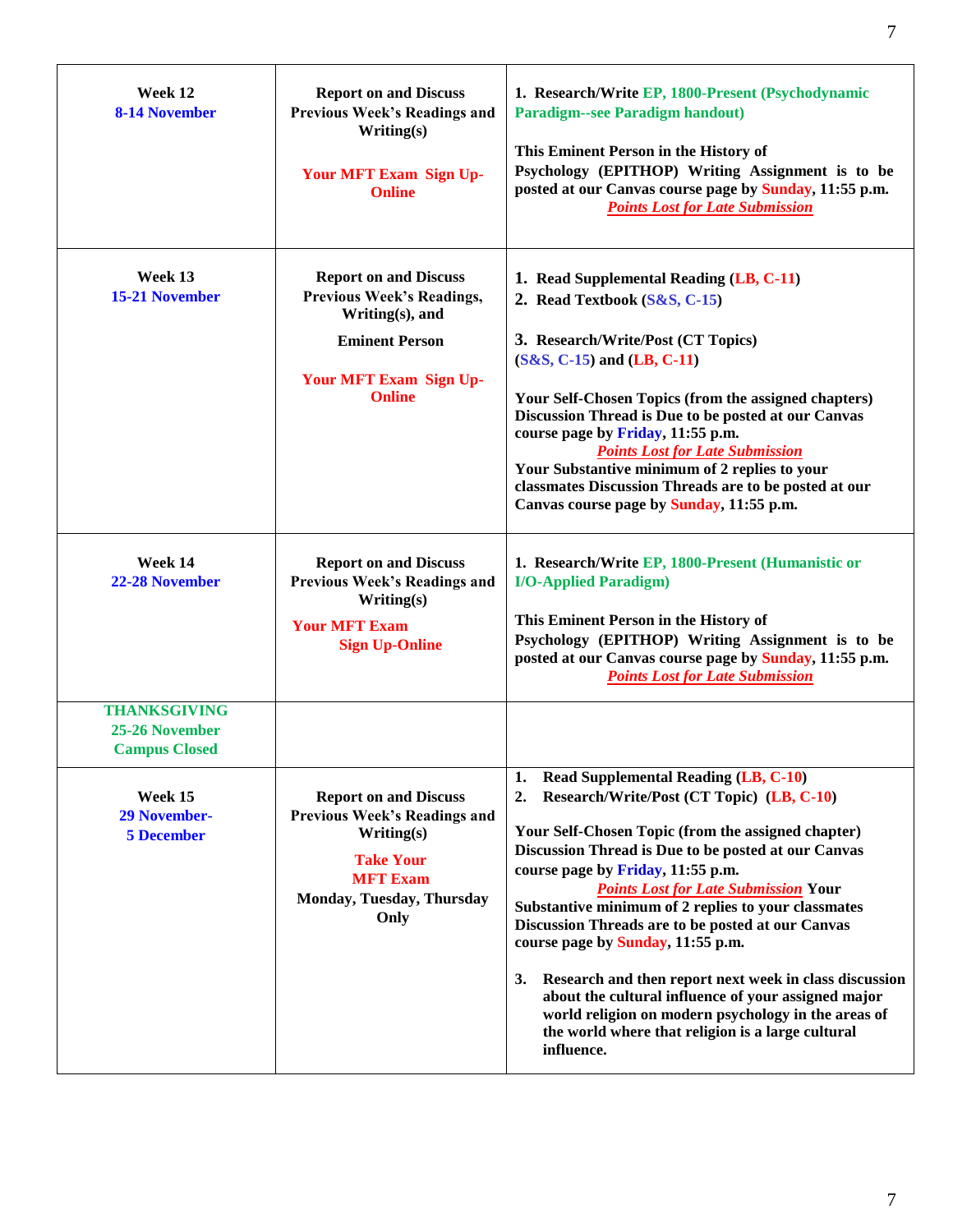| Week 12<br><b>8-14 November</b>                               | <b>Report on and Discuss</b><br><b>Previous Week's Readings and</b><br>Writing(s)<br>Your MFT Exam Sign Up-<br><b>Online</b>                                   | 1. Research/Write EP, 1800-Present (Psychodynamic<br><b>Paradigm--see Paradigm handout)</b><br>This Eminent Person in the History of<br>Psychology (EPITHOP) Writing Assignment is to be<br>posted at our Canvas course page by Sunday, 11:55 p.m.<br><b>Points Lost for Late Submission</b>                                                                                                                                                                                                                                                                                                                                                                                                                   |
|---------------------------------------------------------------|----------------------------------------------------------------------------------------------------------------------------------------------------------------|----------------------------------------------------------------------------------------------------------------------------------------------------------------------------------------------------------------------------------------------------------------------------------------------------------------------------------------------------------------------------------------------------------------------------------------------------------------------------------------------------------------------------------------------------------------------------------------------------------------------------------------------------------------------------------------------------------------|
| Week 13<br><b>15-21 November</b>                              | <b>Report on and Discuss</b><br><b>Previous Week's Readings,</b><br>Writing(s), and<br><b>Eminent Person</b><br><b>Your MFT Exam Sign Up-</b><br><b>Online</b> | 1. Read Supplemental Reading (LB, C-11)<br>2. Read Textbook (S&S, C-15)<br>3. Research/Write/Post (CT Topics)<br>$(S&S, C-15)$ and $(LB, C-11)$<br>Your Self-Chosen Topics (from the assigned chapters)<br>Discussion Thread is Due to be posted at our Canvas<br>course page by Friday, 11:55 p.m.<br><b>Points Lost for Late Submission</b><br>Your Substantive minimum of 2 replies to your<br>classmates Discussion Threads are to be posted at our<br>Canvas course page by Sunday, 11:55 p.m.                                                                                                                                                                                                            |
| Week 14<br>22-28 November                                     | <b>Report on and Discuss</b><br><b>Previous Week's Readings and</b><br>Writing(s)<br><b>Your MFT Exam</b><br><b>Sign Up-Online</b>                             | 1. Research/Write EP, 1800-Present (Humanistic or<br><b>I/O-Applied Paradigm)</b><br>This Eminent Person in the History of<br>Psychology (EPITHOP) Writing Assignment is to be<br>posted at our Canvas course page by Sunday, 11:55 p.m.<br><b>Points Lost for Late Submission</b>                                                                                                                                                                                                                                                                                                                                                                                                                             |
| <b>THANKSGIVING</b><br>25-26 November<br><b>Campus Closed</b> |                                                                                                                                                                |                                                                                                                                                                                                                                                                                                                                                                                                                                                                                                                                                                                                                                                                                                                |
| Week 15<br><b>29 November-</b><br><b>5 December</b>           | <b>Report on and Discuss</b><br><b>Previous Week's Readings and</b><br>Writing(s)<br><b>Take Your</b><br><b>MFT Exam</b><br>Monday, Tuesday, Thursday<br>Only  | <b>Read Supplemental Reading (LB, C-10)</b><br>1.<br>Research/Write/Post (CT Topic) (LB, C-10)<br>2.<br>Your Self-Chosen Topic (from the assigned chapter)<br>Discussion Thread is Due to be posted at our Canvas<br>course page by Friday, 11:55 p.m.<br><b>Points Lost for Late Submission Your</b><br>Substantive minimum of 2 replies to your classmates<br>Discussion Threads are to be posted at our Canvas<br>course page by Sunday, 11:55 p.m.<br>Research and then report next week in class discussion<br><b>3.</b><br>about the cultural influence of your assigned major<br>world religion on modern psychology in the areas of<br>the world where that religion is a large cultural<br>influence. |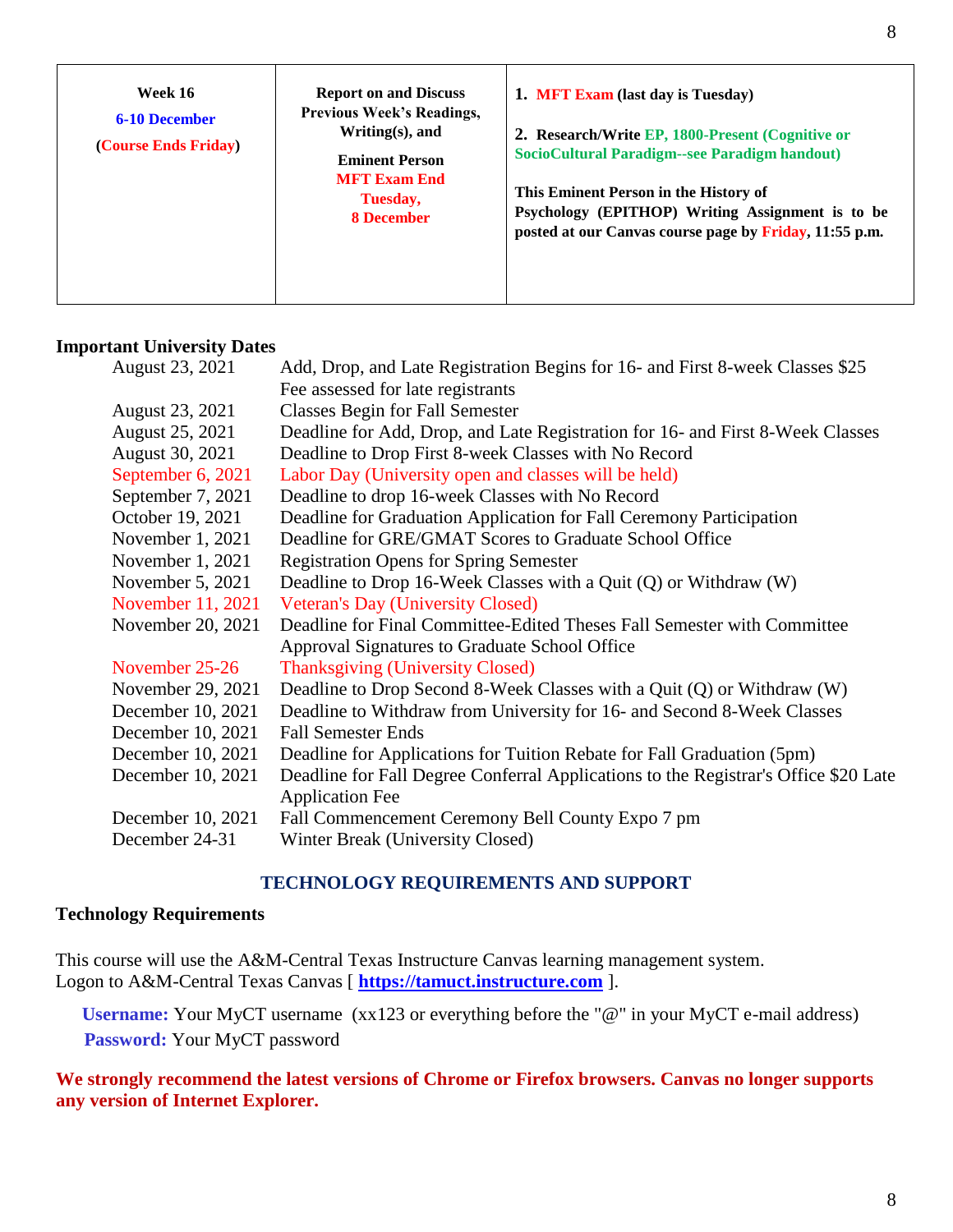| Week 16<br><b>Report on and Discuss</b><br><b>Previous Week's Readings,</b><br><b>6-10 December</b><br>Writing $(s)$ , and | 1. MFT Exam (last day is Tuesday)<br>2. Research/Write EP, 1800-Present (Cognitive or |                                                                                                                                                                                                      |
|----------------------------------------------------------------------------------------------------------------------------|---------------------------------------------------------------------------------------|------------------------------------------------------------------------------------------------------------------------------------------------------------------------------------------------------|
| (Course Ends Friday)                                                                                                       | <b>Eminent Person</b><br><b>MFT Exam End</b><br>Tuesday,<br><b>8 December</b>         | SocioCultural Paradigm--see Paradigm handout)<br>This Eminent Person in the History of<br>Psychology (EPITHOP) Writing Assignment is to be<br>posted at our Canvas course page by Friday, 11:55 p.m. |

## **Important University Dates**

| August 23, 2021   | Add, Drop, and Late Registration Begins for 16- and First 8-week Classes \$25       |
|-------------------|-------------------------------------------------------------------------------------|
|                   | Fee assessed for late registrants                                                   |
| August 23, 2021   | <b>Classes Begin for Fall Semester</b>                                              |
| August 25, 2021   | Deadline for Add, Drop, and Late Registration for 16- and First 8-Week Classes      |
| August 30, 2021   | Deadline to Drop First 8-week Classes with No Record                                |
| September 6, 2021 | Labor Day (University open and classes will be held)                                |
| September 7, 2021 | Deadline to drop 16-week Classes with No Record                                     |
| October 19, 2021  | Deadline for Graduation Application for Fall Ceremony Participation                 |
| November 1, 2021  | Deadline for GRE/GMAT Scores to Graduate School Office                              |
| November 1, 2021  | <b>Registration Opens for Spring Semester</b>                                       |
| November 5, 2021  | Deadline to Drop 16-Week Classes with a Quit $(Q)$ or Withdraw $(W)$                |
| November 11, 2021 | <b>Veteran's Day (University Closed)</b>                                            |
| November 20, 2021 | Deadline for Final Committee-Edited Theses Fall Semester with Committee             |
|                   | Approval Signatures to Graduate School Office                                       |
| November 25-26    | <b>Thanksgiving (University Closed)</b>                                             |
| November 29, 2021 | Deadline to Drop Second 8-Week Classes with a Quit (Q) or Withdraw (W)              |
| December 10, 2021 | Deadline to Withdraw from University for 16- and Second 8-Week Classes              |
| December 10, 2021 | <b>Fall Semester Ends</b>                                                           |
| December 10, 2021 | Deadline for Applications for Tuition Rebate for Fall Graduation (5pm)              |
| December 10, 2021 | Deadline for Fall Degree Conferral Applications to the Registrar's Office \$20 Late |
|                   | <b>Application Fee</b>                                                              |
| December 10, 2021 | Fall Commencement Ceremony Bell County Expo 7 pm                                    |
| December 24-31    | Winter Break (University Closed)                                                    |

## **TECHNOLOGY REQUIREMENTS AND SUPPORT**

# **Technology Requirements**

This course will use the A&M-Central Texas Instructure Canvas learning management system. Logon to A&M-Central Texas Canvas [ **[https://tamuct.instructure.com](https://tamuct.instructure.com/)** ].

**Username:** Your MyCT username (xx123 or everything before the "@" in your MyCT e-mail address) **Password:** Your MyCT password

**We strongly recommend the latest versions of Chrome or Firefox browsers. Canvas no longer supports any version of Internet Explorer.**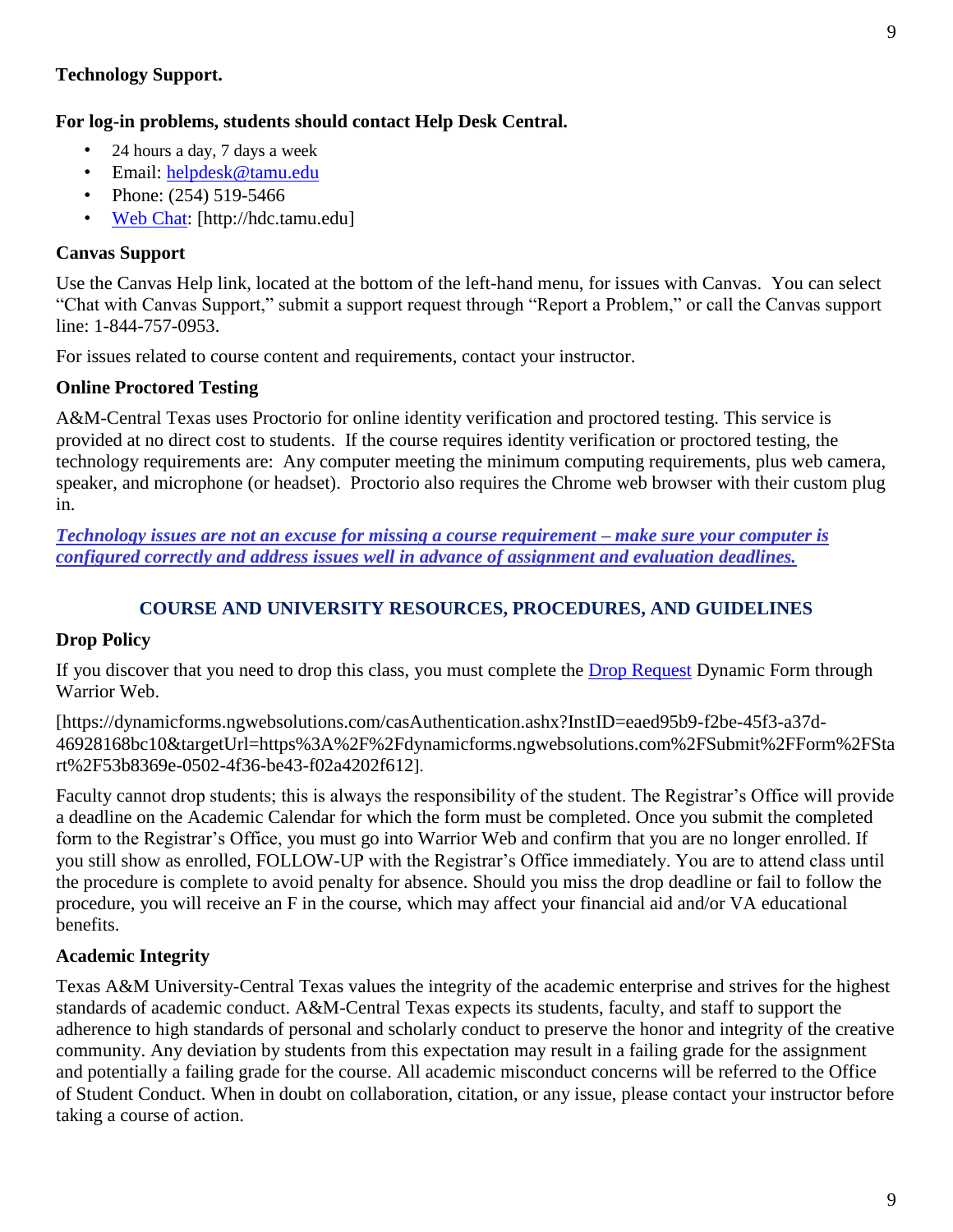### **Technology Support.**

#### **For log-in problems, students should contact Help Desk Central.**

- 24 hours a day, 7 days a week
- Email: helpdesk@tamu.edu
- Phone:  $(254)$  519-5466
- [Web Chat:](http://hdc.tamu.edu/) [http://hdc.tamu.edu]

### **Canvas Support**

Use the Canvas Help link, located at the bottom of the left-hand menu, for issues with Canvas. You can select "Chat with Canvas Support," submit a support request through "Report a Problem," or call the Canvas support line: 1-844-757-0953.

For issues related to course content and requirements, contact your instructor.

### **Online Proctored Testing**

A&M-Central Texas uses Proctorio for online identity verification and proctored testing. This service is provided at no direct cost to students. If the course requires identity verification or proctored testing, the technology requirements are: Any computer meeting the minimum computing requirements, plus web camera, speaker, and microphone (or headset). Proctorio also requires the Chrome web browser with their custom plug in.

*Technology issues are not an excuse for missing a course requirement – make sure your computer is configured correctly and address issues well in advance of assignment and evaluation deadlines.* 

## **COURSE AND UNIVERSITY RESOURCES, PROCEDURES, AND GUIDELINES**

### **Drop Policy**

If you discover that you need to drop this class, you must complete the [Drop Request](https://dynamicforms.ngwebsolutions.com/casAuthentication.ashx?InstID=eaed95b9-f2be-45f3-a37d-46928168bc10&targetUrl=https%3A%2F%2Fdynamicforms.ngwebsolutions.com%2FSubmit%2FForm%2FStart%2F53b8369e-0502-4f36-be43-f02a4202f612) Dynamic Form through Warrior Web.

[https://dynamicforms.ngwebsolutions.com/casAuthentication.ashx?InstID=eaed95b9-f2be-45f3-a37d-46928168bc10&targetUrl=https%3A%2F%2Fdynamicforms.ngwebsolutions.com%2FSubmit%2FForm%2FSta rt%2F53b8369e-0502-4f36-be43-f02a4202f612].

Faculty cannot drop students; this is always the responsibility of the student. The Registrar's Office will provide a deadline on the Academic Calendar for which the form must be completed. Once you submit the completed form to the Registrar's Office, you must go into Warrior Web and confirm that you are no longer enrolled. If you still show as enrolled, FOLLOW-UP with the Registrar's Office immediately. You are to attend class until the procedure is complete to avoid penalty for absence. Should you miss the drop deadline or fail to follow the procedure, you will receive an F in the course, which may affect your financial aid and/or VA educational benefits.

### **Academic Integrity**

Texas A&M University-Central Texas values the integrity of the academic enterprise and strives for the highest standards of academic conduct. A&M-Central Texas expects its students, faculty, and staff to support the adherence to high standards of personal and scholarly conduct to preserve the honor and integrity of the creative community. Any deviation by students from this expectation may result in a failing grade for the assignment and potentially a failing grade for the course. All academic misconduct concerns will be referred to the Office of Student Conduct. When in doubt on collaboration, citation, or any issue, please contact your instructor before taking a course of action.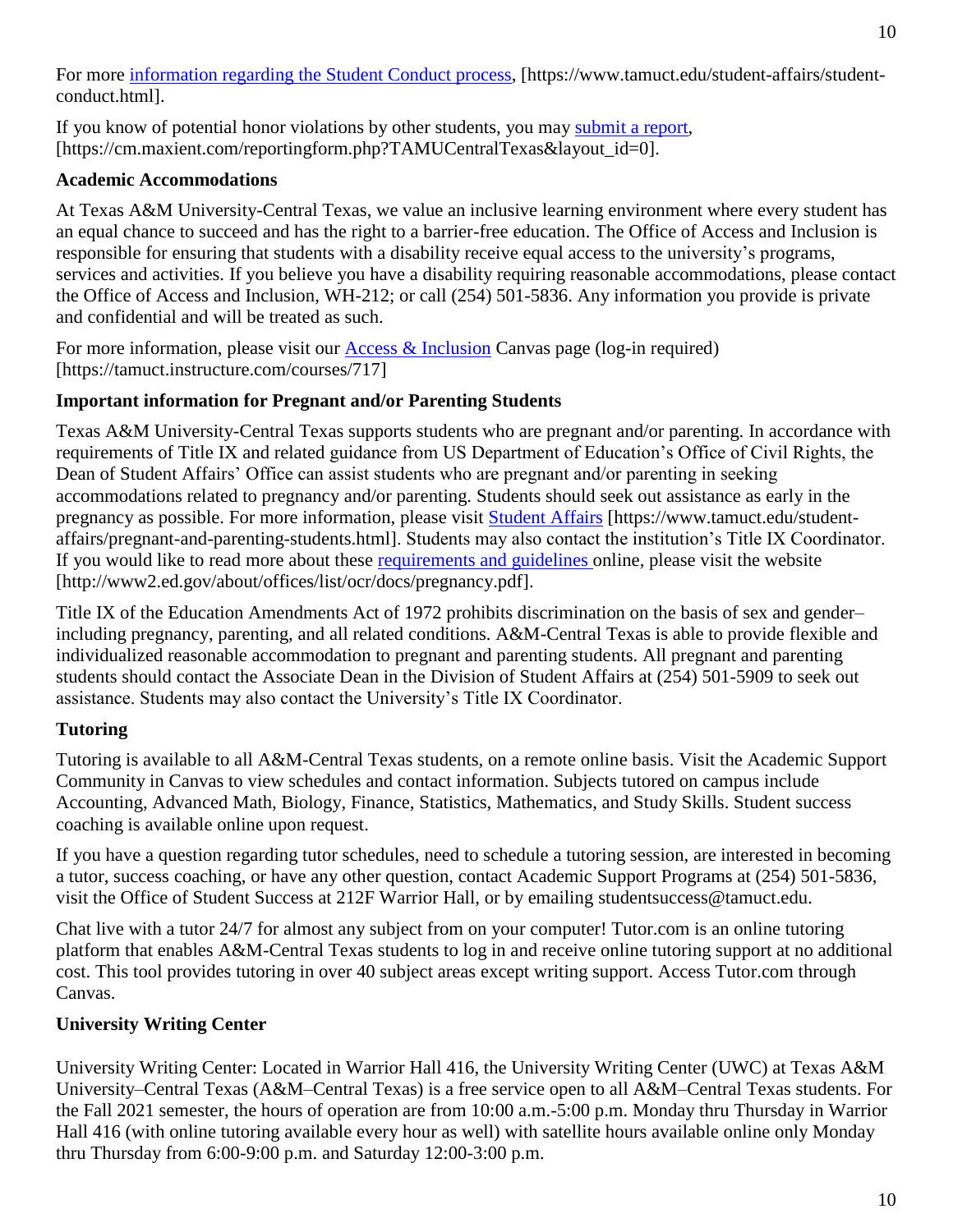10

For more [information](https://nam04.safelinks.protection.outlook.com/?url=https%3A%2F%2Fwww.tamuct.edu%2Fstudent-affairs%2Fstudent-conduct.html&data=04%7C01%7Clisa.bunkowski%40tamuct.edu%7Ccfb6e486f24745f53e1a08d910055cb2%7C9eed4e3000f744849ff193ad8005acec%7C0%7C0%7C637558437485252160%7CUnknown%7CTWFpbGZsb3d8eyJWIjoiMC4wLjAwMDAiLCJQIjoiV2luMzIiLCJBTiI6Ik1haWwiLCJXVCI6Mn0%3D%7C1000&sdata=yjftDEVHvLX%2FhM%2FcFU0B99krV1RgEWR%2BJ%2BhvtoR6TYk%3D&reserved=0) regarding the Student Conduct process, [https://www.tamuct.edu/student-affairs/studentconduct.html].

If you know of potential honor violations by other students, you may [submit](https://nam04.safelinks.protection.outlook.com/?url=https%3A%2F%2Fcm.maxient.com%2Freportingform.php%3FTAMUCentralTexas%26layout_id%3D0&data=04%7C01%7Clisa.bunkowski%40tamuct.edu%7Ccfb6e486f24745f53e1a08d910055cb2%7C9eed4e3000f744849ff193ad8005acec%7C0%7C0%7C637558437485262157%7CUnknown%7CTWFpbGZsb3d8eyJWIjoiMC4wLjAwMDAiLCJQIjoiV2luMzIiLCJBTiI6Ik1haWwiLCJXVCI6Mn0%3D%7C1000&sdata=CXGkOa6uPDPX1IMZ87z3aZDq2n91xfHKu4MMS43Ejjk%3D&reserved=0) a report, [https://cm.maxient.com/reportingform.php?TAMUCentralTexas&layout\_id=0].

## **Academic Accommodations**

At Texas A&M University-Central Texas, we value an inclusive learning environment where every student has an equal chance to succeed and has the right to a barrier-free education. The Office of Access and Inclusion is responsible for ensuring that students with a disability receive equal access to the university's programs, services and activities. If you believe you have a disability requiring reasonable accommodations, please contact the Office of Access and Inclusion, WH-212; or call (254) 501-5836. Any information you provide is private and confidential and will be treated as such.

For more information, please visit our [Access & Inclusion](https://tamuct.instructure.com/courses/717) Canvas page (log-in required) [https://tamuct.instructure.com/courses/717]

# **Important information for Pregnant and/or Parenting Students**

Texas A&M University-Central Texas supports students who are pregnant and/or parenting. In accordance with requirements of Title IX and related guidance from US Department of Education's Office of Civil Rights, the Dean of Student Affairs' Office can assist students who are pregnant and/or parenting in seeking accommodations related to pregnancy and/or parenting. Students should seek out assistance as early in the pregnancy as possible. For more information, please visit [Student Affairs](https://www.tamuct.edu/student-affairs/pregnant-and-parenting-students.html) [https://www.tamuct.edu/studentaffairs/pregnant-and-parenting-students.html]. Students may also contact the institution's Title IX Coordinator. If you would like to read more about these [requirements and guidelines](http://www2.ed.gov/about/offices/list/ocr/docs/pregnancy.pdf) online, please visit the website [http://www2.ed.gov/about/offices/list/ocr/docs/pregnancy.pdf].

Title IX of the Education Amendments Act of 1972 prohibits discrimination on the basis of sex and gender– including pregnancy, parenting, and all related conditions. A&M-Central Texas is able to provide flexible and individualized reasonable accommodation to pregnant and parenting students. All pregnant and parenting students should contact the Associate Dean in the Division of Student Affairs at (254) 501-5909 to seek out assistance. Students may also contact the University's Title IX Coordinator.

# **Tutoring**

Tutoring is available to all A&M-Central Texas students, on a remote online basis. Visit the Academic Support Community in Canvas to view schedules and contact information. Subjects tutored on campus include Accounting, Advanced Math, Biology, Finance, Statistics, Mathematics, and Study Skills. Student success coaching is available online upon request.

If you have a question regarding tutor schedules, need to schedule a tutoring session, are interested in becoming a tutor, success coaching, or have any other question, contact Academic Support Programs at (254) 501-5836, visit the Office of Student Success at 212F Warrior Hall, or by emailing studentsuccess@tamuct.edu.

Chat live with a tutor 24/7 for almost any subject from on your computer! Tutor.com is an online tutoring platform that enables A&M-Central Texas students to log in and receive online tutoring support at no additional cost. This tool provides tutoring in over 40 subject areas except writing support. Access Tutor.com through Canvas.

# **University Writing Center**

University Writing Center: Located in Warrior Hall 416, the University Writing Center (UWC) at Texas A&M University–Central Texas (A&M–Central Texas) is a free service open to all A&M–Central Texas students. For the Fall 2021 semester, the hours of operation are from 10:00 a.m.-5:00 p.m. Monday thru Thursday in Warrior Hall 416 (with online tutoring available every hour as well) with satellite hours available online only Monday thru Thursday from 6:00-9:00 p.m. and Saturday 12:00-3:00 p.m.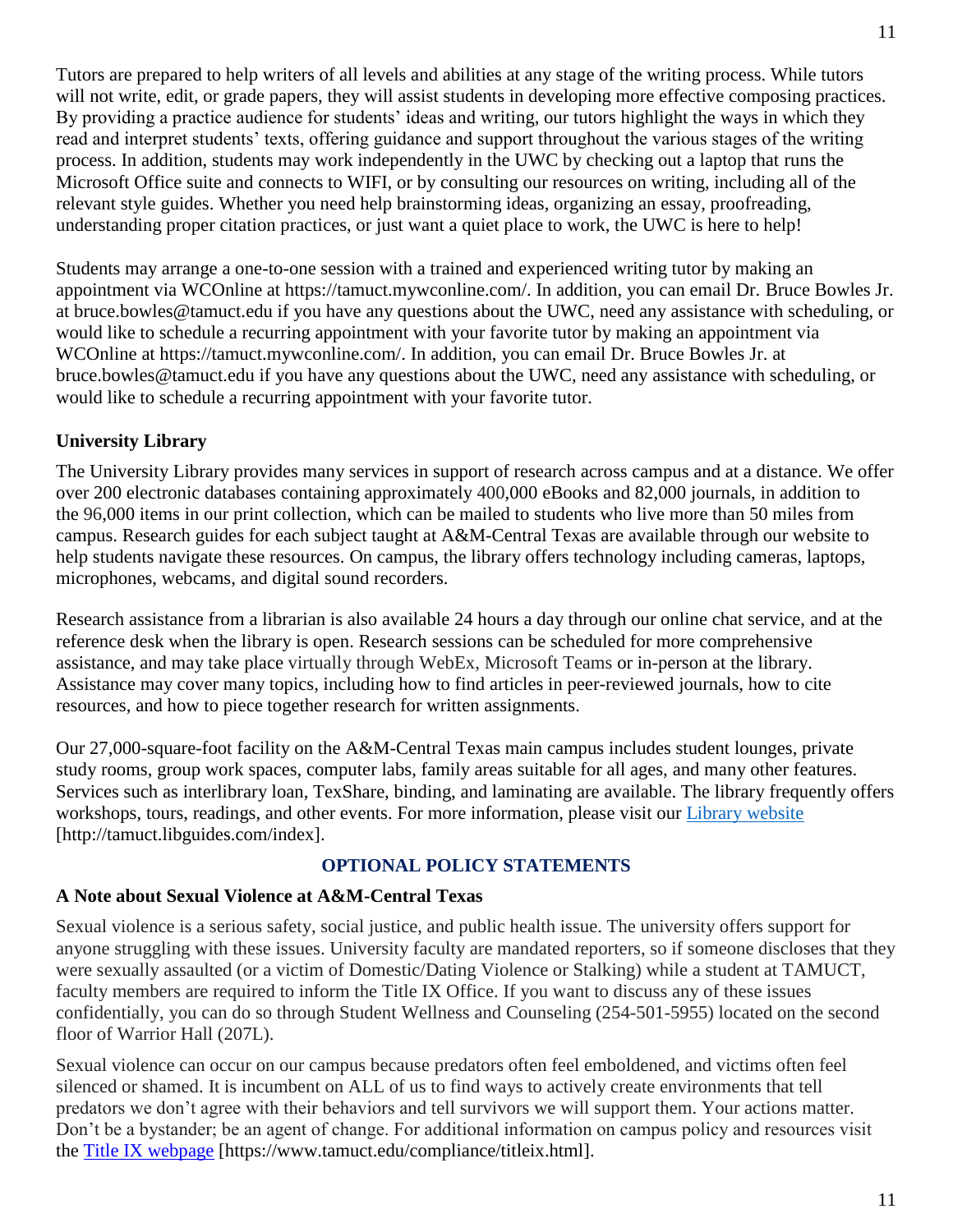Tutors are prepared to help writers of all levels and abilities at any stage of the writing process. While tutors will not write, edit, or grade papers, they will assist students in developing more effective composing practices. By providing a practice audience for students' ideas and writing, our tutors highlight the ways in which they read and interpret students' texts, offering guidance and support throughout the various stages of the writing process. In addition, students may work independently in the UWC by checking out a laptop that runs the Microsoft Office suite and connects to WIFI, or by consulting our resources on writing, including all of the relevant style guides. Whether you need help brainstorming ideas, organizing an essay, proofreading, understanding proper citation practices, or just want a quiet place to work, the UWC is here to help!

Students may arrange a one-to-one session with a trained and experienced writing tutor by making an appointment via WCOnline at https://tamuct.mywconline.com/. In addition, you can email Dr. Bruce Bowles Jr. at bruce.bowles@tamuct.edu if you have any questions about the UWC, need any assistance with scheduling, or would like to schedule a recurring appointment with your favorite tutor by making an appointment via WCOnline at https://tamuct.mywconline.com/. In addition, you can email Dr. Bruce Bowles Jr. at bruce.bowles@tamuct.edu if you have any questions about the UWC, need any assistance with scheduling, or would like to schedule a recurring appointment with your favorite tutor.

# **University Library**

The University Library provides many services in support of research across campus and at a distance. We offer over 200 electronic databases containing approximately 400,000 eBooks and 82,000 journals, in addition to the 96,000 items in our print collection, which can be mailed to students who live more than 50 miles from campus. Research guides for each subject taught at A&M-Central Texas are available through our website to help students navigate these resources. On campus, the library offers technology including cameras, laptops, microphones, webcams, and digital sound recorders.

Research assistance from a librarian is also available 24 hours a day through our online chat service, and at the reference desk when the library is open. Research sessions can be scheduled for more comprehensive assistance, and may take place virtually through WebEx, Microsoft Teams or in-person at the library. Assistance may cover many topics, including how to find articles in peer-reviewed journals, how to cite resources, and how to piece together research for written assignments.

Our 27,000-square-foot facility on the A&M-Central Texas main campus includes student lounges, private study rooms, group work spaces, computer labs, family areas suitable for all ages, and many other features. Services such as interlibrary loan, TexShare, binding, and laminating are available. The library frequently offers workshops, tours, readings, and other events. For more information, please visit our *Library [website](https://nam04.safelinks.protection.outlook.com/?url=https%3A%2F%2Ftamuct.libguides.com%2Findex&data=04%7C01%7Clisa.bunkowski%40tamuct.edu%7C7d8489e8839a4915335f08d916f067f2%7C9eed4e3000f744849ff193ad8005acec%7C0%7C0%7C637566044056484222%7CUnknown%7CTWFpbGZsb3d8eyJWIjoiMC4wLjAwMDAiLCJQIjoiV2luMzIiLCJBTiI6Ik1haWwiLCJXVCI6Mn0%3D%7C1000&sdata=2R755V6rcIyedGrd4Os5rkgn1PvhHKU3kUV1vBKiHFo%3D&reserved=0)* [http://tamuct.libguides.com/index].

## **OPTIONAL POLICY STATEMENTS**

## **A Note about Sexual Violence at A&M-Central Texas**

Sexual violence is a serious safety, social justice, and public health issue. The university offers support for anyone struggling with these issues. University faculty are mandated reporters, so if someone discloses that they were sexually assaulted (or a victim of Domestic/Dating Violence or Stalking) while a student at TAMUCT, faculty members are required to inform the Title IX Office. If you want to discuss any of these issues confidentially, you can do so through Student Wellness and Counseling (254-501-5955) located on the second floor of Warrior Hall (207L).

Sexual violence can occur on our campus because predators often feel emboldened, and victims often feel silenced or shamed. It is incumbent on ALL of us to find ways to actively create environments that tell predators we don't agree with their behaviors and tell survivors we will support them. Your actions matter. Don't be a bystander; be an agent of change. For additional information on campus policy and resources visit the [Title IX webpage](https://www.tamuct.edu/compliance/titleix.html) [\[https://www.tamuct.edu/compliance/titleix.html\]](https://www.tamuct.edu/compliance/titleix.html).